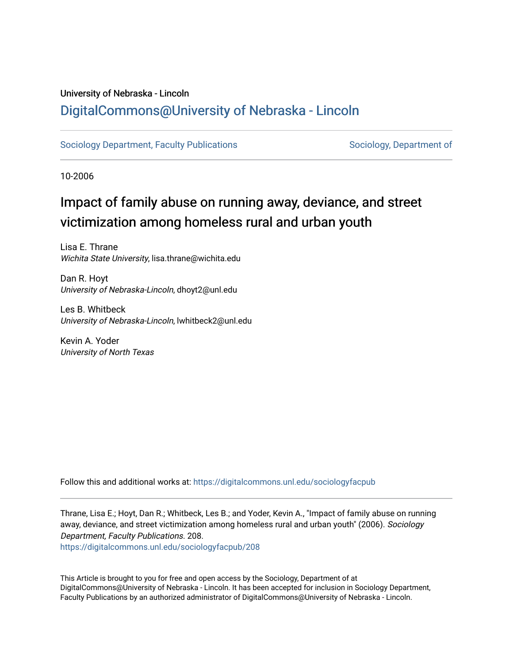### University of Nebraska - Lincoln [DigitalCommons@University of Nebraska - Lincoln](https://digitalcommons.unl.edu/)

[Sociology Department, Faculty Publications](https://digitalcommons.unl.edu/sociologyfacpub) Sociology, Department of

10-2006

## Impact of family abuse on running away, deviance, and street victimization among homeless rural and urban youth

Lisa E. Thrane Wichita State University, lisa.thrane@wichita.edu

Dan R. Hoyt University of Nebraska-Lincoln, dhoyt2@unl.edu

Les B. Whitbeck University of Nebraska-Lincoln, lwhitbeck2@unl.edu

Kevin A. Yoder University of North Texas

Follow this and additional works at: [https://digitalcommons.unl.edu/sociologyfacpub](https://digitalcommons.unl.edu/sociologyfacpub?utm_source=digitalcommons.unl.edu%2Fsociologyfacpub%2F208&utm_medium=PDF&utm_campaign=PDFCoverPages)

Thrane, Lisa E.; Hoyt, Dan R.; Whitbeck, Les B.; and Yoder, Kevin A., "Impact of family abuse on running away, deviance, and street victimization among homeless rural and urban youth" (2006). Sociology Department, Faculty Publications. 208.

[https://digitalcommons.unl.edu/sociologyfacpub/208](https://digitalcommons.unl.edu/sociologyfacpub/208?utm_source=digitalcommons.unl.edu%2Fsociologyfacpub%2F208&utm_medium=PDF&utm_campaign=PDFCoverPages)

This Article is brought to you for free and open access by the Sociology, Department of at DigitalCommons@University of Nebraska - Lincoln. It has been accepted for inclusion in Sociology Department, Faculty Publications by an authorized administrator of DigitalCommons@University of Nebraska - Lincoln.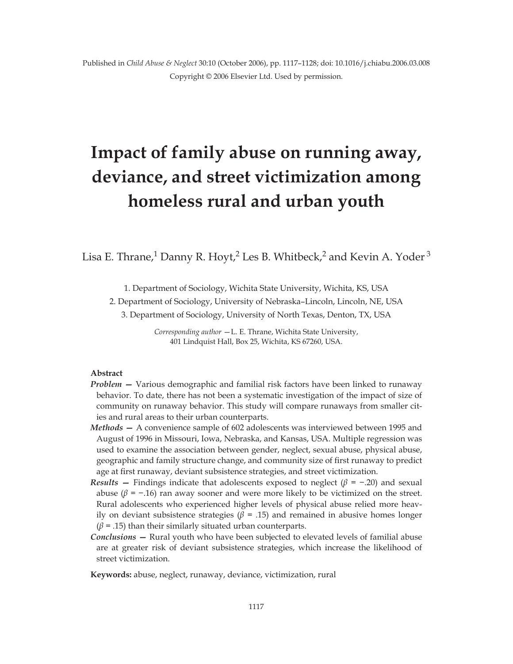# **Impact of family abuse on running away, deviance, and street victimization among homeless rural and urban youth**

Lisa E. Thrane,<sup>1</sup> Danny R. Hoyt,<sup>2</sup> Les B. Whitbeck,<sup>2</sup> and Kevin A. Yoder<sup>3</sup>

1. Department of Sociology, Wichita State University, Wichita, KS, USA

2. Department of Sociology, University of Nebraska–Lincoln, Lincoln, NE, USA

3. Department of Sociology, University of North Texas, Denton, TX, USA

*Corresponding author* —L. E. Thrane, Wichita State University, 401 Lindquist Hall, Box 25, Wichita, KS 67260, USA.

#### **Abstract**

- *Problem* Various demographic and familial risk factors have been linked to runaway behavior. To date, there has not been a systematic investigation of the impact of size of community on runaway behavior. This study will compare runaways from smaller cities and rural areas to their urban counterparts.
- *Methods* A convenience sample of 602 adolescents was interviewed between 1995 and August of 1996 in Missouri, Iowa, Nebraska, and Kansas, USA. Multiple regression was used to examine the association between gender, neglect, sexual abuse, physical abuse, geographic and family structure change, and community size of first runaway to predict age at first runaway, deviant subsistence strategies, and street victimization.
- *Results* Findings indicate that adolescents exposed to neglect  $(\beta = -.20)$  and sexual abuse ( $\beta$  = -.16) ran away sooner and were more likely to be victimized on the street. Rural adolescents who experienced higher levels of physical abuse relied more heavily on deviant subsistence strategies ( $\beta$  = .15) and remained in abusive homes longer  $(\beta = .15)$  than their similarly situated urban counterparts.
- *Conclusions* Rural youth who have been subjected to elevated levels of familial abuse are at greater risk of deviant subsistence strategies, which increase the likelihood of street victimization.

**Keywords:** abuse, neglect, runaway, deviance, victimization, rural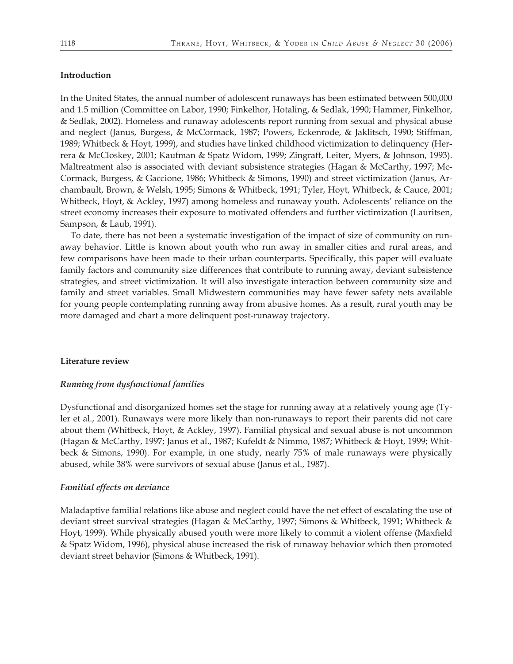#### **Introduction**

In the United States, the annual number of adolescent runaways has been estimated between 500,000 and 1.5 million (Committee on Labor, 1990; Finkelhor, Hotaling, & Sedlak, 1990; Hammer, Finkelhor, & Sedlak, 2002). Homeless and runaway adolescents report running from sexual and physical abuse and neglect (Janus, Burgess, & McCormack, 1987; Powers, Eckenrode, & Jaklitsch, 1990; Stiffman, 1989; Whitbeck & Hoyt, 1999), and studies have linked childhood victimization to delinquency (Herrera & McCloskey, 2001; Kaufman & Spatz Widom, 1999; Zingraff, Leiter, Myers, & Johnson, 1993). Maltreatment also is associated with deviant subsistence strategies (Hagan & McCarthy, 1997; Mc-Cormack, Burgess, & Gaccione, 1986; Whitbeck & Simons, 1990) and street victimization (Janus, Archambault, Brown, & Welsh, 1995; Simons & Whitbeck, 1991; Tyler, Hoyt, Whitbeck, & Cauce, 2001; Whitbeck, Hoyt, & Ackley, 1997) among homeless and runaway youth. Adolescents' reliance on the street economy increases their exposure to motivated offenders and further victimization (Lauritsen, Sampson, & Laub, 1991).

To date, there has not been a systematic investigation of the impact of size of community on runaway behavior. Little is known about youth who run away in smaller cities and rural areas, and few comparisons have been made to their urban counterparts. Specifically, this paper will evaluate family factors and community size differences that contribute to running away, deviant subsistence strategies, and street victimization. It will also investigate interaction between community size and family and street variables. Small Midwestern communities may have fewer safety nets available for young people contemplating running away from abusive homes. As a result, rural youth may be more damaged and chart a more delinquent post-runaway trajectory.

#### **Literature review**

#### *Running from dysfunctional families*

Dysfunctional and disorganized homes set the stage for running away at a relatively young age (Tyler et al., 2001). Runaways were more likely than non-runaways to report their parents did not care about them (Whitbeck, Hoyt, & Ackley, 1997). Familial physical and sexual abuse is not uncommon (Hagan & McCarthy, 1997; Janus et al., 1987; Kufeldt & Nimmo, 1987; Whitbeck & Hoyt, 1999; Whitbeck & Simons, 1990). For example, in one study, nearly 75% of male runaways were physically abused, while 38% were survivors of sexual abuse (Janus et al., 1987).

#### *Familial effects on deviance*

Maladaptive familial relations like abuse and neglect could have the net effect of escalating the use of deviant street survival strategies (Hagan & McCarthy, 1997; Simons & Whitbeck, 1991; Whitbeck & Hoyt, 1999). While physically abused youth were more likely to commit a violent offense (Maxfield & Spatz Widom, 1996), physical abuse increased the risk of runaway behavior which then promoted deviant street behavior (Simons & Whitbeck, 1991).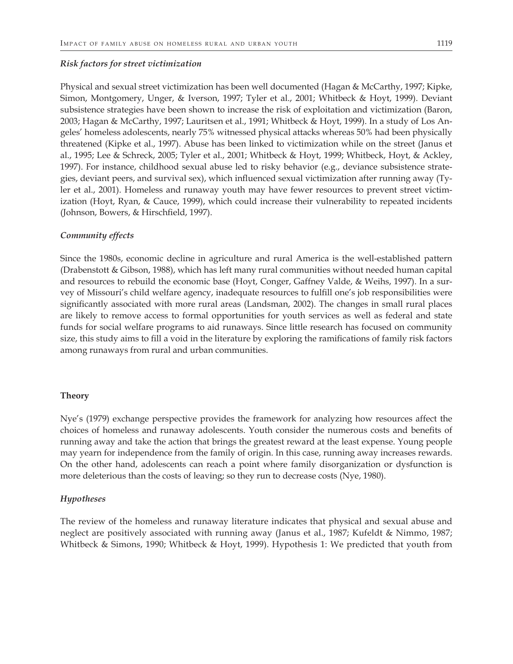#### *Risk factors for street victimization*

Physical and sexual street victimization has been well documented (Hagan & McCarthy, 1997; Kipke, Simon, Montgomery, Unger, & Iverson, 1997; Tyler et al., 2001; Whitbeck & Hoyt, 1999). Deviant subsistence strategies have been shown to increase the risk of exploitation and victimization (Baron, 2003; Hagan & McCarthy, 1997; Lauritsen et al., 1991; Whitbeck & Hoyt, 1999). In a study of Los Angeles' homeless adolescents, nearly 75% witnessed physical attacks whereas 50% had been physically threatened (Kipke et al., 1997). Abuse has been linked to victimization while on the street (Janus et al., 1995; Lee & Schreck, 2005; Tyler et al., 2001; Whitbeck & Hoyt, 1999; Whitbeck, Hoyt, & Ackley, 1997). For instance, childhood sexual abuse led to risky behavior (e.g., deviance subsistence strategies, deviant peers, and survival sex), which influenced sexual victimization after running away (Tyler et al., 2001). Homeless and runaway youth may have fewer resources to prevent street victimization (Hoyt, Ryan, & Cauce, 1999), which could increase their vulnerability to repeated incidents (Johnson, Bowers, & Hirschfield, 1997).

#### *Community effects*

Since the 1980s, economic decline in agriculture and rural America is the well-established pattern (Drabenstott & Gibson, 1988), which has left many rural communities without needed human capital and resources to rebuild the economic base (Hoyt, Conger, Gaffney Valde, & Weihs, 1997). In a survey of Missouri's child welfare agency, inadequate resources to fulfill one's job responsibilities were significantly associated with more rural areas (Landsman, 2002). The changes in small rural places are likely to remove access to formal opportunities for youth services as well as federal and state funds for social welfare programs to aid runaways. Since little research has focused on community size, this study aims to fill a void in the literature by exploring the ramifications of family risk factors among runaways from rural and urban communities.

#### **Theory**

Nye's (1979) exchange perspective provides the framework for analyzing how resources affect the choices of homeless and runaway adolescents. Youth consider the numerous costs and benefits of running away and take the action that brings the greatest reward at the least expense. Young people may yearn for independence from the family of origin. In this case, running away increases rewards. On the other hand, adolescents can reach a point where family disorganization or dysfunction is more deleterious than the costs of leaving; so they run to decrease costs (Nye, 1980).

#### *Hypotheses*

The review of the homeless and runaway literature indicates that physical and sexual abuse and neglect are positively associated with running away (Janus et al., 1987; Kufeldt & Nimmo, 1987; Whitbeck & Simons, 1990; Whitbeck & Hoyt, 1999). Hypothesis 1: We predicted that youth from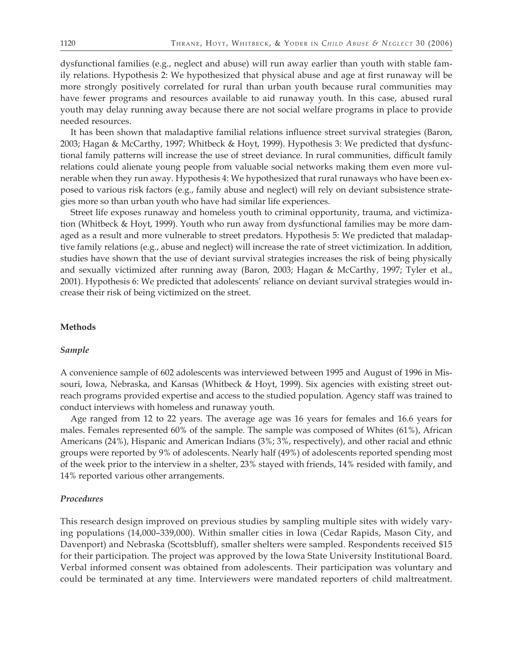dysfunctional families (e.g., neglect and abuse) will run away earlier than youth with stable family relations. Hypothesis 2: We hypothesized that physical abuse and age at first runaway will be more strongly positively correlated for rural than urban youth because rural communities may have fewer programs and resources available to aid runaway youth. In this case, abused rural youth may delay running away because there are not social welfare programs in place to provide needed resources.

It has been shown that maladaptive familial relations influence street survival strategies (Baron, 2003; Hagan & McCarthy, 1997; Whitbeck & Hoyt, 1999). Hypothesis 3: We predicted that dysfunctional family patterns will increase the use of street deviance. In rural communities, difficult family relations could alienate young people from valuable social networks making them even more vulnerable when they run away. Hypothesis 4: We hypothesized that rural runaways who have been exposed to various risk factors (e.g., family abuse and neglect) will rely on deviant subsistence strategies more so than urban youth who have had similar life experiences.

Street life exposes runaway and homeless youth to criminal opportunity, trauma, and victimization (Whitbeck & Hoyt, 1999). Youth who run away from dysfunctional families may be more damaged as a result and more vulnerable to street predators. Hypothesis 5: We predicted that maladaptive family relations (e.g., abuse and neglect) will increase the rate of street victimization. In addition, studies have shown that the use of deviant survival strategies increases the risk of being physically and sexually victimized after running away (Baron, 2003; Hagan & McCarthy, 1997; Tyler et al., 2001). Hypothesis 6: We predicted that adolescents' reliance on deviant survival strategies would increase their risk of being victimized on the street.

#### **Methods**

#### *Sample*

A convenience sample of 602 adolescents was interviewed between 1995 and August of 1996 in Missouri, Iowa, Nebraska, and Kansas (Whitbeck & Hoyt, 1999). Six agencies with existing street outreach programs provided expertise and access to the studied population. Agency staff was trained to conduct interviews with homeless and runaway youth.

Age ranged from 12 to 22 years. The average age was 16 years for females and 16.6 years for males. Females represented 60% of the sample. The sample was composed of Whites (61%), African Americans (24%), Hispanic and American Indians (3%; 3%, respectively), and other racial and ethnic groups were reported by 9% of adolescents. Nearly half (49%) of adolescents reported spending most of the week prior to the interview in a shelter, 23% stayed with friends, 14% resided with family, and 14% reported various other arrangements.

#### *Procedures*

This research design improved on previous studies by sampling multiple sites with widely varying populations (14,000–339,000). Within smaller cities in Iowa (Cedar Rapids, Mason City, and Davenport) and Nebraska (Scottsbluff), smaller shelters were sampled. Respondents received \$15 for their participation. The project was approved by the Iowa State University Institutional Board. Verbal informed consent was obtained from adolescents. Their participation was voluntary and could be terminated at any time. Interviewers were mandated reporters of child maltreatment.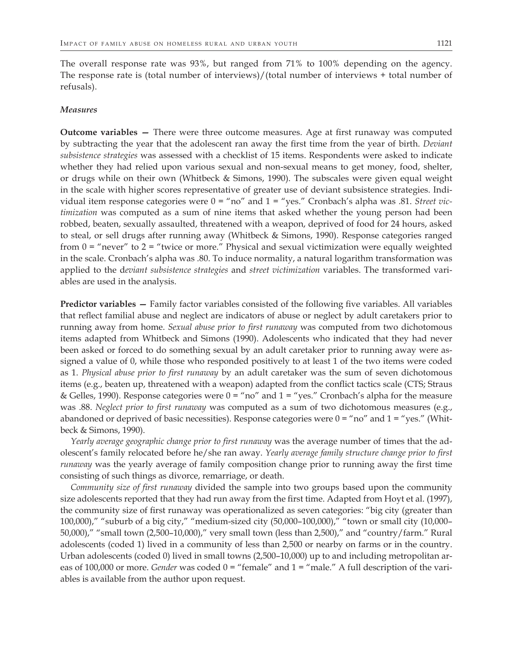The overall response rate was 93%, but ranged from 71% to 100% depending on the agency. The response rate is (total number of interviews)/(total number of interviews + total number of refusals).

#### *Measures*

**Outcome variables —** There were three outcome measures. Age at first runaway was computed by subtracting the year that the adolescent ran away the first time from the year of birth. *Deviant subsistence strategies* was assessed with a checklist of 15 items. Respondents were asked to indicate whether they had relied upon various sexual and non-sexual means to get money, food, shelter, or drugs while on their own (Whitbeck & Simons, 1990). The subscales were given equal weight in the scale with higher scores representative of greater use of deviant subsistence strategies. Individual item response categories were 0 = "no" and 1 = "yes." Cronbach's alpha was .81. *Street victimization* was computed as a sum of nine items that asked whether the young person had been robbed, beaten, sexually assaulted, threatened with a weapon, deprived of food for 24 hours, asked to steal, or sell drugs after running away (Whitbeck & Simons, 1990). Response categories ranged from  $0 =$  "never" to  $2 =$  "twice or more." Physical and sexual victimization were equally weighted in the scale. Cronbach's alpha was .80. To induce normality, a natural logarithm transformation was applied to the d*eviant subsistence strategies* and *street victimization* variables. The transformed variables are used in the analysis.

**Predictor variables —** Family factor variables consisted of the following five variables. All variables that reflect familial abuse and neglect are indicators of abuse or neglect by adult caretakers prior to running away from home. *Sexual abuse prior to first runaway* was computed from two dichotomous items adapted from Whitbeck and Simons (1990). Adolescents who indicated that they had never been asked or forced to do something sexual by an adult caretaker prior to running away were assigned a value of 0, while those who responded positively to at least 1 of the two items were coded as 1. *Physical abuse prior to first runaway* by an adult caretaker was the sum of seven dichotomous items (e.g., beaten up, threatened with a weapon) adapted from the conflict tactics scale (CTS; Straus & Gelles, 1990). Response categories were  $0 = \text{``no''}$  and  $1 = \text{``yes."}$  Cronbach's alpha for the measure was .88. *Neglect prior to first runaway* was computed as a sum of two dichotomous measures (e.g., abandoned or deprived of basic necessities). Response categories were  $0 = "no"$  and  $1 = "yes."$  (Whitbeck & Simons, 1990).

*Yearly average geographic change prior to first runaway* was the average number of times that the adolescent's family relocated before he/she ran away. *Yearly average family structure change prior to first runaway* was the yearly average of family composition change prior to running away the first time consisting of such things as divorce, remarriage, or death.

*Community size of first runaway* divided the sample into two groups based upon the community size adolescents reported that they had run away from the first time. Adapted from Hoyt et al. (1997), the community size of first runaway was operationalized as seven categories: "big city (greater than 100,000)," "suburb of a big city," "medium-sized city (50,000–100,000)," "town or small city (10,000– 50,000)," "small town (2,500–10,000)," very small town (less than 2,500)," and "country/farm." Rural adolescents (coded 1) lived in a community of less than 2,500 or nearby on farms or in the country. Urban adolescents (coded 0) lived in small towns (2,500–10,000) up to and including metropolitan areas of 100,000 or more. *Gender* was coded  $0 =$  "female" and  $1 =$  "male." A full description of the variables is available from the author upon request.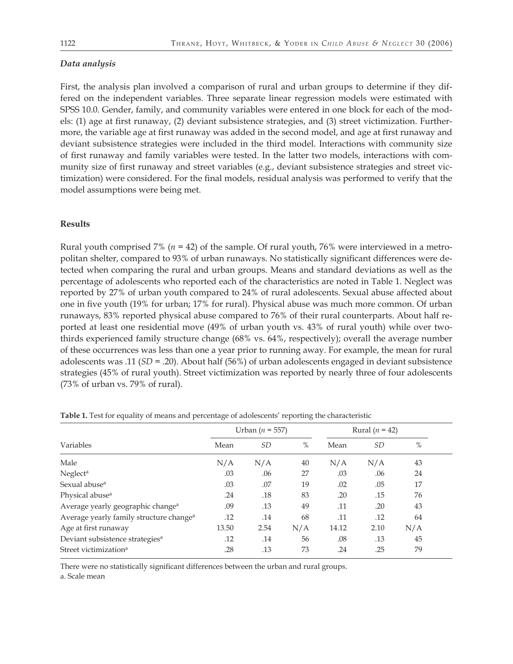#### *Data analysis*

First, the analysis plan involved a comparison of rural and urban groups to determine if they differed on the independent variables. Three separate linear regression models were estimated with SPSS 10.0. Gender, family, and community variables were entered in one block for each of the models: (1) age at first runaway, (2) deviant subsistence strategies, and (3) street victimization. Furthermore, the variable age at first runaway was added in the second model, and age at first runaway and deviant subsistence strategies were included in the third model. Interactions with community size of first runaway and family variables were tested. In the latter two models, interactions with community size of first runaway and street variables (e.g., deviant subsistence strategies and street victimization) were considered. For the final models, residual analysis was performed to verify that the model assumptions were being met.

#### **Results**

Rural youth comprised 7% (*n* = 42) of the sample. Of rural youth, 76% were interviewed in a metropolitan shelter, compared to 93% of urban runaways. No statistically significant differences were detected when comparing the rural and urban groups. Means and standard deviations as well as the percentage of adolescents who reported each of the characteristics are noted in Table 1. Neglect was reported by 27% of urban youth compared to 24% of rural adolescents. Sexual abuse affected about one in five youth (19% for urban; 17% for rural). Physical abuse was much more common. Of urban runaways, 83% reported physical abuse compared to 76% of their rural counterparts. About half reported at least one residential move (49% of urban youth vs. 43% of rural youth) while over twothirds experienced family structure change (68% vs. 64%, respectively); overall the average number of these occurrences was less than one a year prior to running away. For example, the mean for rural adolescents was .11 (*SD* = .20). About half (56%) of urban adolescents engaged in deviant subsistence strategies (45% of rural youth). Street victimization was reported by nearly three of four adolescents (73% of urban vs. 79% of rural).

|                                                     | Urban ( <i>n</i> = 557) |           |               | Rural $(n = 42)$ |           |      |  |
|-----------------------------------------------------|-------------------------|-----------|---------------|------------------|-----------|------|--|
| Variables                                           | Mean                    | <i>SD</i> | $\frac{0}{0}$ | Mean             | <i>SD</i> | $\%$ |  |
| Male                                                | N/A                     | N/A       | 40            | N/A              | N/A       | 43   |  |
| Neglect <sup>a</sup>                                | .03                     | .06       | 27            | .03              | .06       | 24   |  |
| Sexual abuse <sup>a</sup>                           | .03                     | .07       | 19            | .02              | .05       | 17   |  |
| Physical abuse <sup>a</sup>                         | .24                     | .18       | 83            | .20              | .15       | 76   |  |
| Average yearly geographic change <sup>a</sup>       | .09                     | .13       | 49            | .11              | .20       | 43   |  |
| Average yearly family structure change <sup>a</sup> | .12                     | .14       | 68            | .11              | .12       | 64   |  |
| Age at first runaway                                | 13.50                   | 2.54      | N/A           | 14.12            | 2.10      | N/A  |  |
| Deviant subsistence strategies <sup>a</sup>         | .12                     | .14       | 56            | .08              | .13       | 45   |  |
| Street victimization <sup>a</sup>                   | .28                     | .13       | 73            | .24              | .25       | 79   |  |

**Table 1.** Test for equality of means and percentage of adolescents' reporting the characteristic

There were no statistically significant differences between the urban and rural groups. a. Scale mean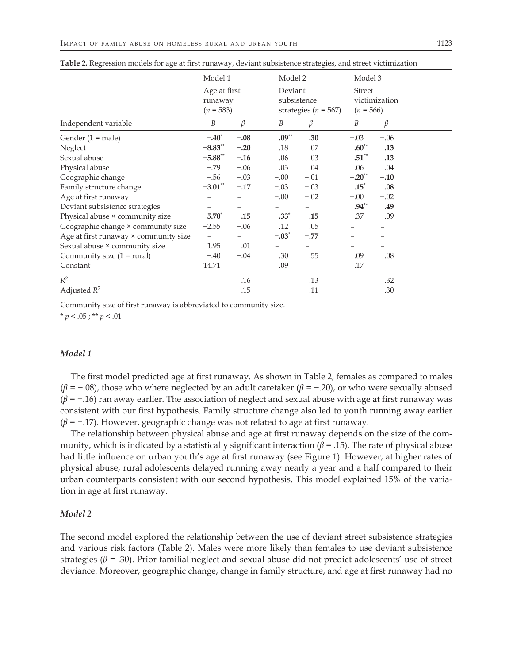|                                       | Model 1<br>Age at first<br>runaway<br>$(n = 583)$ |         |         | Model 2<br>Deviant<br>subsistence<br>strategies ( $n = 567$ ) |          | Model 3<br><b>Street</b><br>victimization<br>$(n = 566)$ |  |
|---------------------------------------|---------------------------------------------------|---------|---------|---------------------------------------------------------------|----------|----------------------------------------------------------|--|
|                                       |                                                   |         |         |                                                               |          |                                                          |  |
| Independent variable                  | $\boldsymbol{B}$                                  | $\beta$ | B       | $\beta$                                                       | B        | $\beta$                                                  |  |
| Gender $(1 = male)$                   | $-.40*$                                           | $-.08$  | $.09**$ | .30                                                           | $-.03$   | $-.06$                                                   |  |
| Neglect                               | $-8.83**$                                         | $-.20$  | .18     | .07                                                           | $.60**$  | .13                                                      |  |
| Sexual abuse                          | $-5.88**$                                         | $-.16$  | .06     | .03                                                           | $.51**$  | .13                                                      |  |
| Physical abuse                        | $-.79$                                            | $-.06$  | .03     | .04                                                           | .06      | .04                                                      |  |
| Geographic change                     | $-.56$                                            | $-.03$  | $-.00$  | $-.01$                                                        | $-.20**$ | $-.10$                                                   |  |
| Family structure change               | $-3.01***$                                        | $-.17$  | $-.03$  | $-.03$                                                        | $.15^*$  | .08                                                      |  |
| Age at first runaway                  |                                                   |         | $-.00$  | $-.02$                                                        | $-.00$   | $-.02$                                                   |  |
| Deviant subsistence strategies        |                                                   |         |         |                                                               | $.94**$  | .49                                                      |  |
| Physical abuse × community size       | $5.70^*$                                          | .15     | $.33*$  | .15                                                           | $-.37$   | $-.09$                                                   |  |
| Geographic change × community size    | $-2.55$                                           | $-.06$  | .12     | .05                                                           |          | $\overline{\phantom{0}}$                                 |  |
| Age at first runaway × community size |                                                   |         | $-.03*$ | $-.77$                                                        |          |                                                          |  |
| Sexual abuse × community size         | 1.95                                              | .01     |         |                                                               |          |                                                          |  |
| Community size $(1 = \text{rural})$   | $-.40$                                            | $-.04$  | .30     | .55                                                           | .09      | .08                                                      |  |
| Constant                              | 14.71                                             |         | .09     |                                                               | .17      |                                                          |  |
| $R^2$                                 |                                                   | .16     |         | .13                                                           |          | .32                                                      |  |
| Adjusted $R^2$                        |                                                   | .15     |         | .11                                                           |          | .30                                                      |  |

**Table 2.** Regression models for age at first runaway, deviant subsistence strategies, and street victimization

Community size of first runaway is abbreviated to community size.

 $* p < .05$ ; \*\*  $p < .01$ 

#### *Model 1*

The first model predicted age at first runaway. As shown in Table 2, females as compared to males (*β* = −.08), those who where neglected by an adult caretaker (*β* = −.20), or who were sexually abused (*β* = −.16) ran away earlier. The association of neglect and sexual abuse with age at first runaway was consistent with our first hypothesis. Family structure change also led to youth running away earlier (*β* = −.17). However, geographic change was not related to age at first runaway.

The relationship between physical abuse and age at first runaway depends on the size of the community, which is indicated by a statistically significant interaction ( $\beta$  = .15). The rate of physical abuse had little influence on urban youth's age at first runaway (see Figure 1). However, at higher rates of physical abuse, rural adolescents delayed running away nearly a year and a half compared to their urban counterparts consistent with our second hypothesis. This model explained 15% of the variation in age at first runaway.

#### *Model 2*

The second model explored the relationship between the use of deviant street subsistence strategies and various risk factors (Table 2). Males were more likely than females to use deviant subsistence strategies ( $\beta$  = .30). Prior familial neglect and sexual abuse did not predict adolescents' use of street deviance. Moreover, geographic change, change in family structure, and age at first runaway had no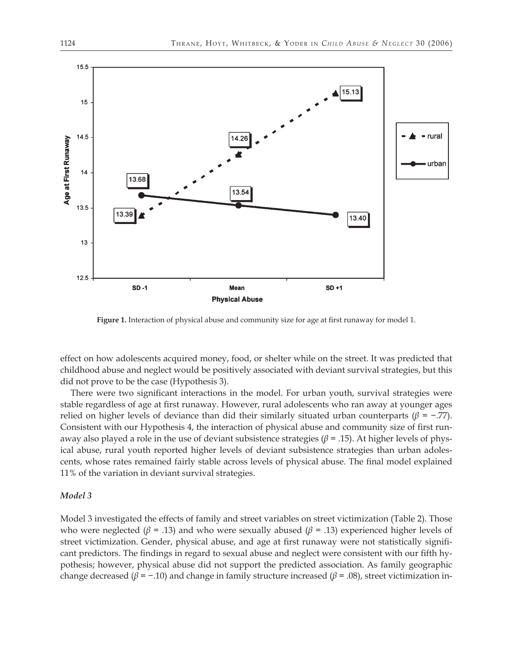

**Figure 1.** Interaction of physical abuse and community size for age at first runaway for model 1.

effect on how adolescents acquired money, food, or shelter while on the street. It was predicted that childhood abuse and neglect would be positively associated with deviant survival strategies, but this did not prove to be the case (Hypothesis 3).

There were two significant interactions in the model. For urban youth, survival strategies were stable regardless of age at first runaway. However, rural adolescents who ran away at younger ages relied on higher levels of deviance than did their similarly situated urban counterparts (*β* = −.77). Consistent with our Hypothesis 4, the interaction of physical abuse and community size of first runaway also played a role in the use of deviant subsistence strategies ( $\beta$  = .15). At higher levels of physical abuse, rural youth reported higher levels of deviant subsistence strategies than urban adolescents, whose rates remained fairly stable across levels of physical abuse. The final model explained 11% of the variation in deviant survival strategies.

#### *Model 3*

Model 3 investigated the effects of family and street variables on street victimization (Table 2). Those who were neglected ( $\beta$  = .13) and who were sexually abused ( $\beta$  = .13) experienced higher levels of street victimization. Gender, physical abuse, and age at first runaway were not statistically significant predictors. The findings in regard to sexual abuse and neglect were consistent with our fifth hypothesis; however, physical abuse did not support the predicted association. As family geographic change decreased ( $\beta$  = -.10) and change in family structure increased ( $\beta$  = .08), street victimization in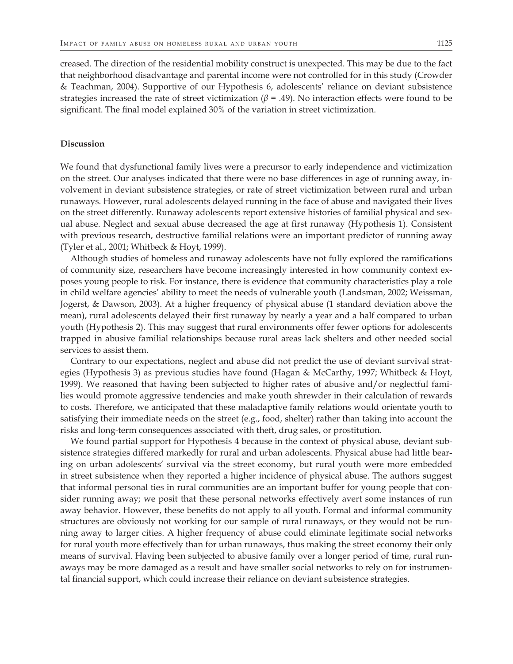creased. The direction of the residential mobility construct is unexpected. This may be due to the fact that neighborhood disadvantage and parental income were not controlled for in this study (Crowder & Teachman, 2004). Supportive of our Hypothesis 6, adolescents' reliance on deviant subsistence strategies increased the rate of street victimization ( $\beta$  = .49). No interaction effects were found to be significant. The final model explained 30% of the variation in street victimization.

#### **Discussion**

We found that dysfunctional family lives were a precursor to early independence and victimization on the street. Our analyses indicated that there were no base differences in age of running away, involvement in deviant subsistence strategies, or rate of street victimization between rural and urban runaways. However, rural adolescents delayed running in the face of abuse and navigated their lives on the street differently. Runaway adolescents report extensive histories of familial physical and sexual abuse. Neglect and sexual abuse decreased the age at first runaway (Hypothesis 1). Consistent with previous research, destructive familial relations were an important predictor of running away (Tyler et al., 2001; Whitbeck & Hoyt, 1999).

Although studies of homeless and runaway adolescents have not fully explored the ramifications of community size, researchers have become increasingly interested in how community context exposes young people to risk. For instance, there is evidence that community characteristics play a role in child welfare agencies' ability to meet the needs of vulnerable youth (Landsman, 2002; Weissman, Jogerst, & Dawson, 2003). At a higher frequency of physical abuse (1 standard deviation above the mean), rural adolescents delayed their first runaway by nearly a year and a half compared to urban youth (Hypothesis 2). This may suggest that rural environments offer fewer options for adolescents trapped in abusive familial relationships because rural areas lack shelters and other needed social services to assist them.

Contrary to our expectations, neglect and abuse did not predict the use of deviant survival strategies (Hypothesis 3) as previous studies have found (Hagan & McCarthy, 1997; Whitbeck & Hoyt, 1999). We reasoned that having been subjected to higher rates of abusive and/or neglectful families would promote aggressive tendencies and make youth shrewder in their calculation of rewards to costs. Therefore, we anticipated that these maladaptive family relations would orientate youth to satisfying their immediate needs on the street (e.g., food, shelter) rather than taking into account the risks and long-term consequences associated with theft, drug sales, or prostitution.

We found partial support for Hypothesis 4 because in the context of physical abuse, deviant subsistence strategies differed markedly for rural and urban adolescents. Physical abuse had little bearing on urban adolescents' survival via the street economy, but rural youth were more embedded in street subsistence when they reported a higher incidence of physical abuse. The authors suggest that informal personal ties in rural communities are an important buffer for young people that consider running away; we posit that these personal networks effectively avert some instances of run away behavior. However, these benefits do not apply to all youth. Formal and informal community structures are obviously not working for our sample of rural runaways, or they would not be running away to larger cities. A higher frequency of abuse could eliminate legitimate social networks for rural youth more effectively than for urban runaways, thus making the street economy their only means of survival. Having been subjected to abusive family over a longer period of time, rural runaways may be more damaged as a result and have smaller social networks to rely on for instrumental financial support, which could increase their reliance on deviant subsistence strategies.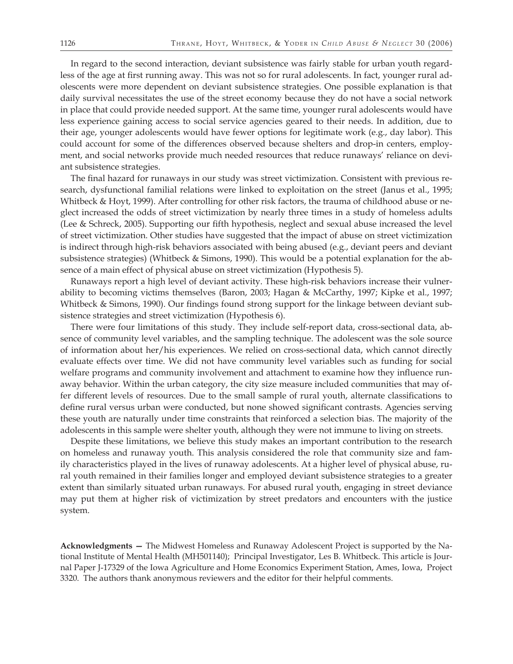In regard to the second interaction, deviant subsistence was fairly stable for urban youth regardless of the age at first running away. This was not so for rural adolescents. In fact, younger rural adolescents were more dependent on deviant subsistence strategies. One possible explanation is that daily survival necessitates the use of the street economy because they do not have a social network in place that could provide needed support. At the same time, younger rural adolescents would have less experience gaining access to social service agencies geared to their needs. In addition, due to their age, younger adolescents would have fewer options for legitimate work (e.g., day labor). This could account for some of the differences observed because shelters and drop-in centers, employment, and social networks provide much needed resources that reduce runaways' reliance on deviant subsistence strategies.

The final hazard for runaways in our study was street victimization. Consistent with previous research, dysfunctional familial relations were linked to exploitation on the street (Janus et al., 1995; Whitbeck & Hoyt, 1999). After controlling for other risk factors, the trauma of childhood abuse or neglect increased the odds of street victimization by nearly three times in a study of homeless adults (Lee & Schreck, 2005). Supporting our fifth hypothesis, neglect and sexual abuse increased the level of street victimization. Other studies have suggested that the impact of abuse on street victimization is indirect through high-risk behaviors associated with being abused (e.g., deviant peers and deviant subsistence strategies) (Whitbeck & Simons, 1990). This would be a potential explanation for the absence of a main effect of physical abuse on street victimization (Hypothesis 5).

Runaways report a high level of deviant activity. These high-risk behaviors increase their vulnerability to becoming victims themselves (Baron, 2003; Hagan & McCarthy, 1997; Kipke et al., 1997; Whitbeck & Simons, 1990). Our findings found strong support for the linkage between deviant subsistence strategies and street victimization (Hypothesis 6).

There were four limitations of this study. They include self-report data, cross-sectional data, absence of community level variables, and the sampling technique. The adolescent was the sole source of information about her/his experiences. We relied on cross-sectional data, which cannot directly evaluate effects over time. We did not have community level variables such as funding for social welfare programs and community involvement and attachment to examine how they influence runaway behavior. Within the urban category, the city size measure included communities that may offer different levels of resources. Due to the small sample of rural youth, alternate classifications to define rural versus urban were conducted, but none showed significant contrasts. Agencies serving these youth are naturally under time constraints that reinforced a selection bias. The majority of the adolescents in this sample were shelter youth, although they were not immune to living on streets.

Despite these limitations, we believe this study makes an important contribution to the research on homeless and runaway youth. This analysis considered the role that community size and family characteristics played in the lives of runaway adolescents. At a higher level of physical abuse, rural youth remained in their families longer and employed deviant subsistence strategies to a greater extent than similarly situated urban runaways. For abused rural youth, engaging in street deviance may put them at higher risk of victimization by street predators and encounters with the justice system.

**Acknowledgments —** The Midwest Homeless and Runaway Adolescent Project is supported by the National Institute of Mental Health (MH501140); Principal Investigator, Les B. Whitbeck. This article is Journal Paper J-17329 of the Iowa Agriculture and Home Economics Experiment Station, Ames, Iowa, Project 3320. The authors thank anonymous reviewers and the editor for their helpful comments.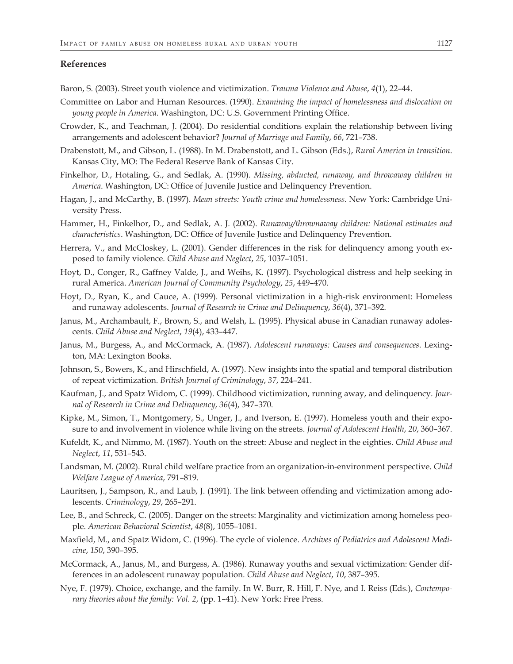#### **References**

Baron, S. (2003). Street youth violence and victimization. *Trauma Violence and Abuse*, *4*(1), 22–44.

- Committee on Labor and Human Resources. (1990). *Examining the impact of homelessness and dislocation on young people in America*. Washington, DC: U.S. Government Printing Office.
- Crowder, K., and Teachman, J. (2004). Do residential conditions explain the relationship between living arrangements and adolescent behavior? *Journal of Marriage and Family*, *66*, 721–738.
- Drabenstott, M., and Gibson, L. (1988). In M. Drabenstott, and L. Gibson (Eds.), *Rural America in transition*. Kansas City, MO: The Federal Reserve Bank of Kansas City.
- Finkelhor, D., Hotaling, G., and Sedlak, A. (1990). *Missing, abducted, runaway, and throwaway children in America*. Washington, DC: Office of Juvenile Justice and Delinquency Prevention.
- Hagan, J., and McCarthy, B. (1997). *Mean streets: Youth crime and homelessness*. New York: Cambridge University Press.
- Hammer, H., Finkelhor, D., and Sedlak, A. J. (2002). *Runaway/thrownaway children: National estimates and characteristics*. Washington, DC: Office of Juvenile Justice and Delinquency Prevention.
- Herrera, V., and McCloskey, L. (2001). Gender differences in the risk for delinquency among youth exposed to family violence. *Child Abuse and Neglect*, *25*, 1037–1051.
- Hoyt, D., Conger, R., Gaffney Valde, J., and Weihs, K. (1997). Psychological distress and help seeking in rural America. *American Journal of Community Psychology*, *25*, 449–470.
- Hoyt, D., Ryan, K., and Cauce, A. (1999). Personal victimization in a high-risk environment: Homeless and runaway adolescents. *Journal of Research in Crime and Delinquency*, *36*(4), 371–392.
- Janus, M., Archambault, F., Brown, S., and Welsh, L. (1995). Physical abuse in Canadian runaway adolescents. *Child Abuse and Neglect*, *19*(4), 433–447.
- Janus, M., Burgess, A., and McCormack, A. (1987). *Adolescent runaways: Causes and consequences*. Lexington, MA: Lexington Books.
- Johnson, S., Bowers, K., and Hirschfield, A. (1997). New insights into the spatial and temporal distribution of repeat victimization. *British Journal of Criminology*, *37*, 224–241.
- Kaufman, J., and Spatz Widom, C. (1999). Childhood victimization, running away, and delinquency. *Journal of Research in Crime and Delinquency*, *36*(4), 347–370.
- Kipke, M., Simon, T., Montgomery, S., Unger, J., and Iverson, E. (1997). Homeless youth and their exposure to and involvement in violence while living on the streets. *Journal of Adolescent Health*, *20*, 360–367.
- Kufeldt, K., and Nimmo, M. (1987). Youth on the street: Abuse and neglect in the eighties. *Child Abuse and Neglect*, *11*, 531–543.
- Landsman, M. (2002). Rural child welfare practice from an organization-in-environment perspective. *Child Welfare League of America*, 791–819.
- Lauritsen, J., Sampson, R., and Laub, J. (1991). The link between offending and victimization among adolescents. *Criminology*, *29*, 265–291.
- Lee, B., and Schreck, C. (2005). Danger on the streets: Marginality and victimization among homeless people. *American Behavioral Scientist*, *48*(8), 1055–1081.
- Maxfield, M., and Spatz Widom, C. (1996). The cycle of violence. *Archives of Pediatrics and Adolescent Medicine*, *150*, 390–395.
- McCormack, A., Janus, M., and Burgess, A. (1986). Runaway youths and sexual victimization: Gender differences in an adolescent runaway population. *Child Abuse and Neglect*, *10*, 387–395.
- Nye, F. (1979). Choice, exchange, and the family. In W. Burr, R. Hill, F. Nye, and I. Reiss (Eds.), *Contemporary theories about the family: Vol. 2*, (pp. 1–41). New York: Free Press.